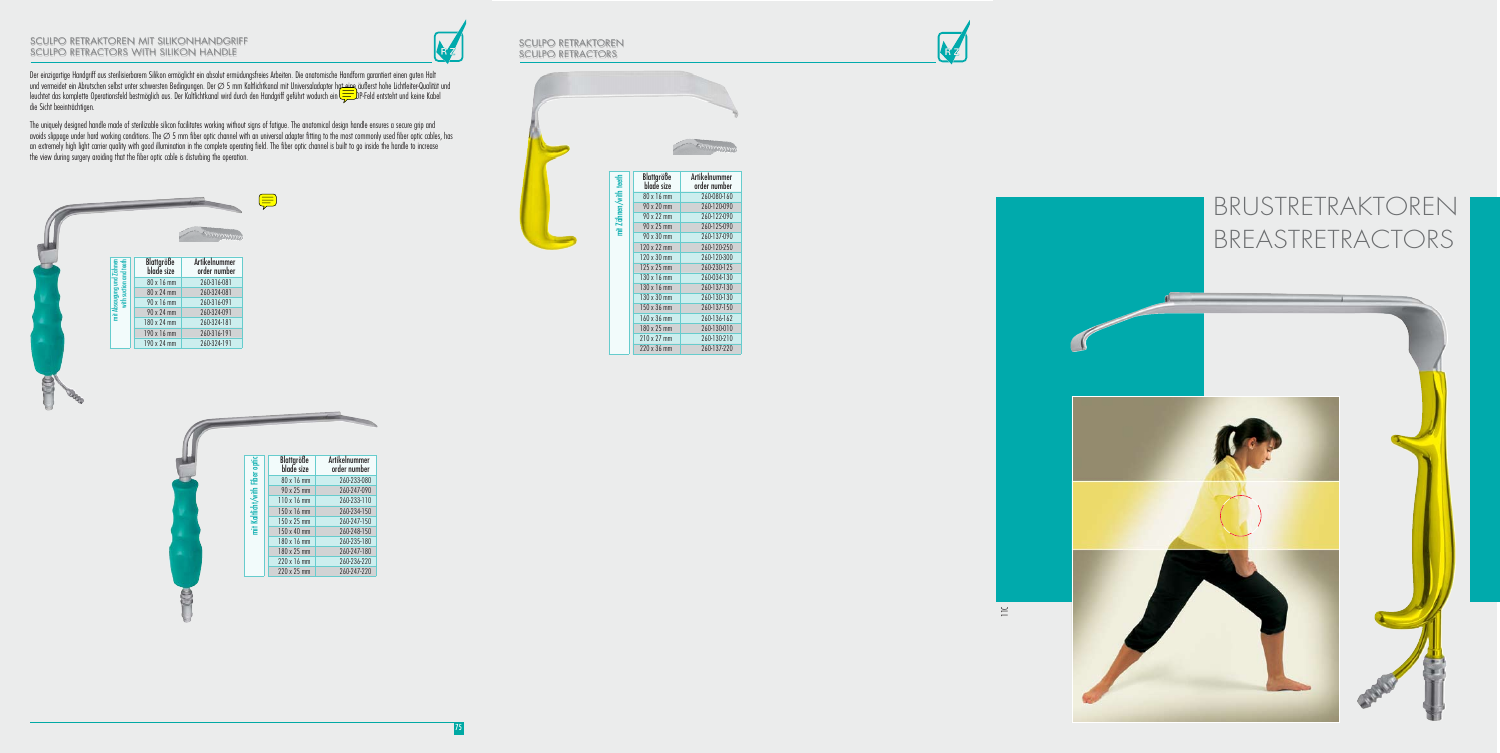Der einzigartige Handgriff aus sterilisierbarem Silikon ermöglicht ein absolut ermüdungsfreies Arbeiten. Die anatomische Handform garantiert einen guten Halt und vermeidet ein Abrutschen selbst unter schwersten Bedingungen. Der Ø5 mm Kaltlichtkanal mit Universaladapter ha<del>t eine</del> äußerst hohe Lichtleiter-Qualität und leuchtet das komplette Operationsfeld bestmöglich aus. Der Kaltlichtkanal wird durch den Handgriff geführt wodurch ein freies OP-Feld entsteht und keine Kabel die Sicht beeinträchtigen.

### SCULPO Retraktoren SCULPO RETRACTORS

The uniquely designed handle made of sterilizable silicon facilitates working without signs of fatigue. The anatomical design handle ensures a secure grip and avoids slippage under hard working conditions. The  $\varnothing$  5 mm fiber optic channel with an universal adapter fitting to the most commonly used fiber optic cables, has an extremely high light carrier quality with good illumination in the complete operating field. The fiber optic channel is built to go inside the handle to increase the view during surgery aroiding that the fiber optic cable is disturbing the operation.

### SCULPO Retraktoren mit SilikonHandgriff SCULPO Retractors with Silikon handle



| mit Absaugung und Zähnen<br>with suction and teeth | Blattgröße<br>blade size | <b>Artikelnummer</b><br>order number |
|----------------------------------------------------|--------------------------|--------------------------------------|
|                                                    | 80 x 16 mm               | 260-316-081                          |
|                                                    | 80 x 24 mm               | 260-324-081                          |
|                                                    | 90 x 16 mm               | 260-316-091                          |
|                                                    | 90 x 24 mm               | 260-324-091                          |
|                                                    | 180 x 24 mm              | 260-324-181                          |
|                                                    | 190 x 16 mm              | 260-316-191                          |
|                                                    | 190 x 24 mm              | 260-324-191                          |

S



| mit Kaltlicht/with Fiber optic | <b>Blattgröße</b><br>blade size | <b>Artikelnummer</b><br>order number |
|--------------------------------|---------------------------------|--------------------------------------|
|                                | 80 x 16 mm                      | 260-233-080                          |
|                                | 90 x 25 mm                      | 260-247-090                          |
|                                | $110 \times 16$ mm              | 260-233-110                          |
|                                | 150 x 16 mm                     | 260-234-150                          |
|                                | 150 x 25 mm                     | 260-247-150                          |
|                                | 150 x 40 mm                     | 260-248-150                          |
|                                | 180 x 16 mm                     | 260-235-180                          |
|                                | 180 x 25 mm                     | 260-247-180                          |
|                                | 220 x 16 mm                     | 260-236-220                          |
|                                | 220 x 25 mm                     | 260-247-220                          |

| mit Zähnen/with teeth | <b>Blattgröße</b><br>blade size | <b>Artikelnummer</b><br>order number |
|-----------------------|---------------------------------|--------------------------------------|
|                       | 80 x 16 mm                      | 260-080-160                          |
|                       | 90 x 20 mm                      | 260-120-090                          |
|                       | 90 x 22 mm                      | 260-122-090                          |
|                       | 90 x 25 mm                      | 260-125-090                          |
|                       | 90 x 30 mm                      | 260-137-090                          |
|                       | 120 x 22 mm                     | 260-120-250                          |
|                       | 120 x 30 mm                     | 260-120-300                          |
|                       | 125 x 25 mm                     | 260-230-125                          |
|                       | 130 x 16 mm                     | 260-034-130                          |
|                       | 130 x 16 mm                     | 260-137-130                          |
|                       | 130 x 30 mm                     | 260-130-130                          |
|                       | 150 x 36 mm                     | 260-137-150                          |
|                       | 160 x 36 mm                     | 260-136-162                          |
|                       | 180 x 25 mm                     | 260-130-010                          |
|                       | 210 x 27 mm                     | 260-130-210                          |
|                       | 220 x 36 mm                     | 260-137-220                          |